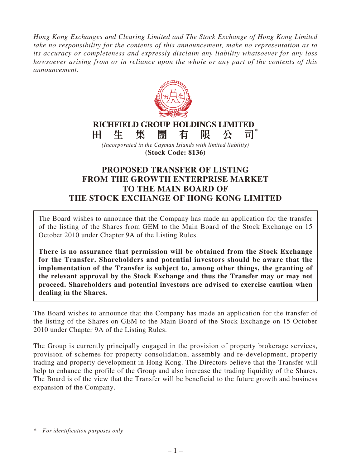*Hong Kong Exchanges and Clearing Limited and The Stock Exchange of Hong Kong Limited take no responsibility for the contents of this announcement, make no representation as to its accuracy or completeness and expressly disclaim any liability whatsoever for any loss howsoever arising from or in reliance upon the whole or any part of the contents of this announcement.*



## **PROPOSED TRANSFER OF LISTING FROM THE GROWTH ENTERPRISE MARKET TO THE MAIN BOARD OF THE STOCK EXCHANGE OF HONG KONG LIMITED**

The Board wishes to announce that the Company has made an application for the transfer of the listing of the Shares from GEM to the Main Board of the Stock Exchange on 15 October 2010 under Chapter 9A of the Listing Rules.

**There is no assurance that permission will be obtained from the Stock Exchange for the Transfer. Shareholders and potential investors should be aware that the implementation of the Transfer is subject to, among other things, the granting of the relevant approval by the Stock Exchange and thus the Transfer may or may not proceed. Shareholders and potential investors are advised to exercise caution when dealing in the Shares.**

The Board wishes to announce that the Company has made an application for the transfer of the listing of the Shares on GEM to the Main Board of the Stock Exchange on 15 October 2010 under Chapter 9A of the Listing Rules.

The Group is currently principally engaged in the provision of property brokerage services, provision of schemes for property consolidation, assembly and re-development, property trading and property development in Hong Kong. The Directors believe that the Transfer will help to enhance the profile of the Group and also increase the trading liquidity of the Shares. The Board is of the view that the Transfer will be beneficial to the future growth and business expansion of the Company.

*<sup>\*</sup> For identification purposes only*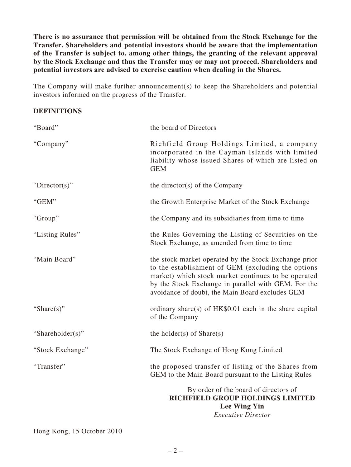**There is no assurance that permission will be obtained from the Stock Exchange for the Transfer. Shareholders and potential investors should be aware that the implementation of the Transfer is subject to, among other things, the granting of the relevant approval by the Stock Exchange and thus the Transfer may or may not proceed. Shareholders and potential investors are advised to exercise caution when dealing in the Shares.**

The Company will make further announcement(s) to keep the Shareholders and potential investors informed on the progress of the Transfer.

## **DEFINITIONS**

| "Board"          | the board of Directors                                                                                                                                                                                                                                                       |
|------------------|------------------------------------------------------------------------------------------------------------------------------------------------------------------------------------------------------------------------------------------------------------------------------|
| "Company"        | Richfield Group Holdings Limited, a company<br>incorporated in the Cayman Islands with limited<br>liability whose issued Shares of which are listed on<br><b>GEM</b>                                                                                                         |
| " $Directory$ "  | the director(s) of the Company                                                                                                                                                                                                                                               |
| "GEM"            | the Growth Enterprise Market of the Stock Exchange                                                                                                                                                                                                                           |
| "Group"          | the Company and its subsidiaries from time to time                                                                                                                                                                                                                           |
| "Listing Rules"  | the Rules Governing the Listing of Securities on the<br>Stock Exchange, as amended from time to time                                                                                                                                                                         |
| "Main Board"     | the stock market operated by the Stock Exchange prior<br>to the establishment of GEM (excluding the options<br>market) which stock market continues to be operated<br>by the Stock Exchange in parallel with GEM. For the<br>avoidance of doubt, the Main Board excludes GEM |
| "Share $(s)$ "   | ordinary share(s) of HK\$0.01 each in the share capital<br>of the Company                                                                                                                                                                                                    |
| "Shareholder(s)" | the holder(s) of $Share(s)$                                                                                                                                                                                                                                                  |
| "Stock Exchange" | The Stock Exchange of Hong Kong Limited                                                                                                                                                                                                                                      |
| "Transfer"       | the proposed transfer of listing of the Shares from<br>GEM to the Main Board pursuant to the Listing Rules                                                                                                                                                                   |
|                  | By order of the board of directors of<br>RICHFIELD GROUP HOLDINGS LIMITED<br><b>Lee Wing Yin</b><br><i>Executive Director</i>                                                                                                                                                |